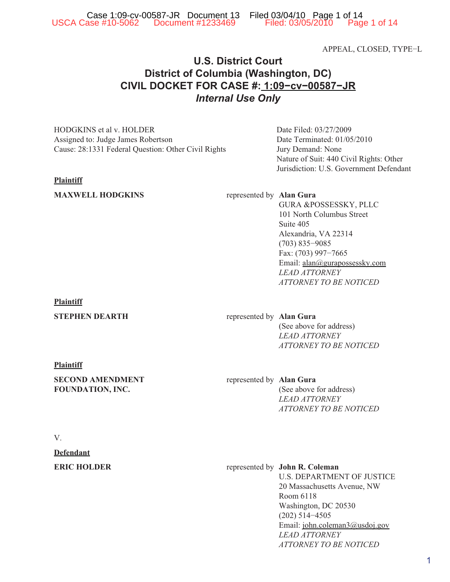APPEAL, CLOSED, TYPE−L

# **U.S. District Court District of Columbia (Washington, DC) CIVIL DOCKET FOR CASE #: 1:09-cv-00587-JR CIVIL DOCKET FOR CASE #: 1:09−cv−00587−JR** *Internal Use Only*

HODGKINS et al v. HOLDER Assigned to: Judge James Robertson Cause: 28:1331 Federal Question: Other Civil Rights

## **Plaintiff**

## **MAXWELL HODGKINS** represented by **Alan Gura**

Date Filed: 03/27/2009 Date Terminated: 01/05/2010 Jury Demand: None Nature of Suit: 440 Civil Rights: Other Jurisdiction: U.S. Government Defendant

GURA &POSSESSKY, PLLC 101 North Columbus Street Suite 405 Alexandria, VA 22314 (703) 835−9085 Fax: (703) 997−7665 Email: alan@gurapossessky.com *LEAD ATTORNEY ATTORNEY TO BE NOTICED*

## **Plaintiff**

## **STEPHEN DEARTH** represented by **Alan Gura**

(See above for address) *LEAD ATTORNEY ATTORNEY TO BE NOTICED*

## **Plaintiff**

**SECOND AMENDMENT FOUNDATION, INC.**

## represented by **Alan Gura** (See above for address) *LEAD ATTORNEY ATTORNEY TO BE NOTICED*

## V.

## **Defendant**

## **ERIC HOLDER** represented by **John R. Coleman** U.S. DEPARTMENT OF JUSTICE 20 Massachusetts Avenue, NW Room 6118 Washington, DC 20530 (202) 514−4505 Email: john.coleman3@usdoj.gov *LEAD ATTORNEY ATTORNEY TO BE NOTICED*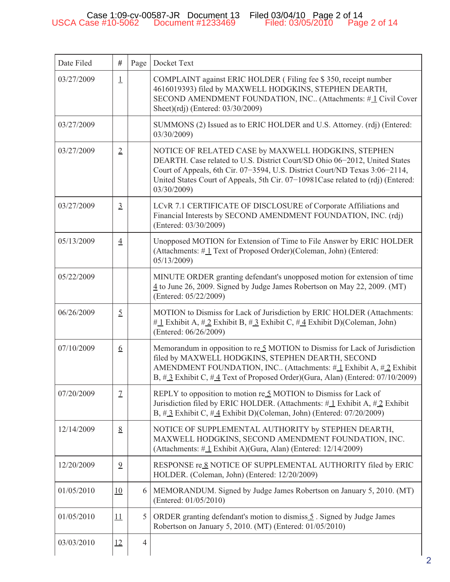| Date Filed | #                | Page           | Docket Text                                                                                                                                                                                                                                                                                                         |
|------------|------------------|----------------|---------------------------------------------------------------------------------------------------------------------------------------------------------------------------------------------------------------------------------------------------------------------------------------------------------------------|
| 03/27/2009 | $\perp$          |                | COMPLAINT against ERIC HOLDER (Filing fee \$350, receipt number<br>4616019393) filed by MAXWELL HODGKINS, STEPHEN DEARTH,<br>SECOND AMENDMENT FOUNDATION, INC (Attachments: #1 Civil Cover<br>Sheet)(rdj) (Entered: 03/30/2009)                                                                                     |
| 03/27/2009 |                  |                | SUMMONS (2) Issued as to ERIC HOLDER and U.S. Attorney. (rdj) (Entered:<br>03/30/2009)                                                                                                                                                                                                                              |
| 03/27/2009 | $\overline{2}$   |                | NOTICE OF RELATED CASE by MAXWELL HODGKINS, STEPHEN<br>DEARTH. Case related to U.S. District Court/SD Ohio 06-2012, United States<br>Court of Appeals, 6th Cir. 07-3594, U.S. District Court/ND Texas 3:06-2114,<br>United States Court of Appeals, 5th Cir. 07-10981Case related to (rdj) (Entered:<br>03/30/2009) |
| 03/27/2009 | $\overline{3}$   |                | LCvR 7.1 CERTIFICATE OF DISCLOSURE of Corporate Affiliations and<br>Financial Interests by SECOND AMENDMENT FOUNDATION, INC. (rdj)<br>(Entered: 03/30/2009)                                                                                                                                                         |
| 05/13/2009 | $\overline{4}$   |                | Unopposed MOTION for Extension of Time to File Answer by ERIC HOLDER<br>(Attachments: #1 Text of Proposed Order)(Coleman, John) (Entered:<br>05/13/2009)                                                                                                                                                            |
| 05/22/2009 |                  |                | MINUTE ORDER granting defendant's unopposed motion for extension of time<br>4 to June 26, 2009. Signed by Judge James Robertson on May 22, 2009. (MT)<br>(Entered: 05/22/2009)                                                                                                                                      |
| 06/26/2009 | $\overline{2}$   |                | MOTION to Dismiss for Lack of Jurisdiction by ERIC HOLDER (Attachments:<br>$\#$ 1 Exhibit A, $\#$ 2 Exhibit B, $\#$ 3 Exhibit C, $\#$ 4 Exhibit D)(Coleman, John)<br>(Entered: 06/26/2009)                                                                                                                          |
| 07/10/2009 | $6 \overline{6}$ |                | Memorandum in opposition to re $5$ MOTION to Dismiss for Lack of Jurisdiction<br>filed by MAXWELL HODGKINS, STEPHEN DEARTH, SECOND<br>AMENDMENT FOUNDATION, INC (Attachments: $\#$ 1 Exhibit A, $\#$ 2 Exhibit<br>B, $\#$ 3 Exhibit C, $\#$ 4 Text of Proposed Order)(Gura, Alan) (Entered: 07/10/2009)             |
| 07/20/2009 | $\mathcal{I}$    |                | REPLY to opposition to motion re 5 MOTION to Dismiss for Lack of<br>Jurisdiction filed by ERIC HOLDER. (Attachments: $\#$ 1 Exhibit A, $\#$ 2 Exhibit<br>B, $\#$ 3 Exhibit C, $\#$ 4 Exhibit D)(Coleman, John) (Entered: 07/20/2009)                                                                                |
| 12/14/2009 | 8                |                | NOTICE OF SUPPLEMENTAL AUTHORITY by STEPHEN DEARTH,<br>MAXWELL HODGKINS, SECOND AMENDMENT FOUNDATION, INC.<br>(Attachments: $\#$ <sub>1</sub> Exhibit A)(Gura, Alan) (Entered: 12/14/2009)                                                                                                                          |
| 12/20/2009 | $\overline{9}$   |                | RESPONSE re 8 NOTICE OF SUPPLEMENTAL AUTHORITY filed by ERIC<br>HOLDER. (Coleman, John) (Entered: 12/20/2009)                                                                                                                                                                                                       |
| 01/05/2010 | <b>10</b>        | 6              | MEMORANDUM. Signed by Judge James Robertson on January 5, 2010. (MT)<br>(Entered: 01/05/2010)                                                                                                                                                                                                                       |
| 01/05/2010 | 11               | 5 <sup>1</sup> | ORDER granting defendant's motion to dismiss 5. Signed by Judge James<br>Robertson on January 5, 2010. (MT) (Entered: 01/05/2010)                                                                                                                                                                                   |
| 03/03/2010 | 12               | $\overline{4}$ |                                                                                                                                                                                                                                                                                                                     |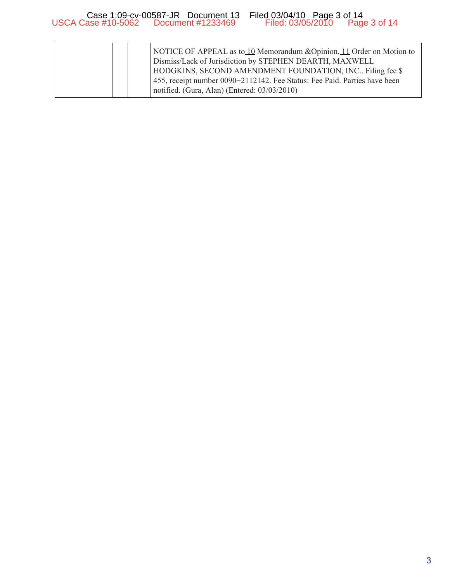|  | NOTICE OF APPEAL as to 10 Memorandum & Opinion, 11 Order on Motion to<br>Dismiss/Lack of Jurisdiction by STEPHEN DEARTH, MAXWELL<br>HODGKINS, SECOND AMENDMENT FOUNDATION, INC. Filing fee \$<br>455, receipt number 0090–2112142. Fee Status: Fee Paid. Parties have been<br>notified. (Gura, Alan) (Entered: 03/03/2010) |
|--|----------------------------------------------------------------------------------------------------------------------------------------------------------------------------------------------------------------------------------------------------------------------------------------------------------------------------|
|--|----------------------------------------------------------------------------------------------------------------------------------------------------------------------------------------------------------------------------------------------------------------------------------------------------------------------------|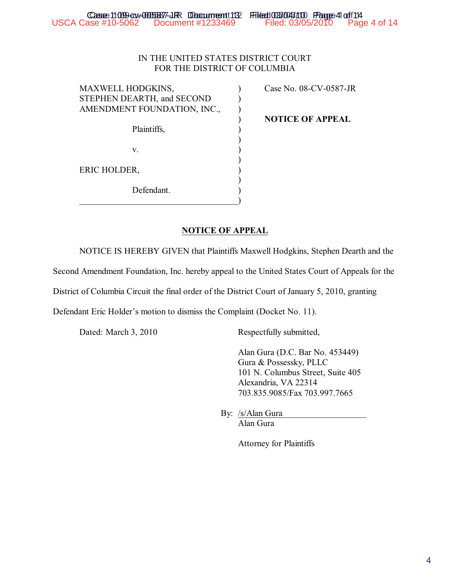## IN THE UNITED STATES DISTRICT COURT FOR THE DISTRICT OF COLUMBIA

MAXWELL HODGKINS,  $\qquad \qquad$  Case No. 08-CV-0587-JR STEPHEN DEARTH, and SECOND ) AMENDMENT FOUNDATION, INC., Plaintiffs,  $\qquad \qquad$ )

) **NOTICE OF APPEAL**

ERIC HOLDER,

Defendant.

 $\hspace{.5em}$   $\hspace{.5em}$   $\hspace{.5em}$   $\hspace{.5em}$   $\hspace{.5em}$   $\hspace{.5em}$   $\hspace{.5em}$   $\hspace{.5em}$   $\hspace{.5em}$   $\hspace{.5em}$   $\hspace{.5em}$   $\hspace{.5em}$   $\hspace{.5em}$   $\hspace{.5em}$   $\hspace{.5em}$   $\hspace{.5em}$   $\hspace{.5em}$   $\hspace{.5em}$   $\hspace{.5em}$   $\hspace{.5em}$ 

## **NOTICE OF APPEAL**

NOTICE IS HEREBY GIVEN that Plaintiffs Maxwell Hodgkins, Stephen Dearth and the

)

)

)

Second Amendment Foundation, Inc. hereby appeal to the United States Court of Appeals for the

District of Columbia Circuit the final order of the District Court of January 5, 2010, granting

Defendant Eric Holder's motion to dismiss the Complaint (Docket No. 11).

 $\mathbf{v}$ .  $\qquad \qquad$  )

Dated: March 3, 2010 Respectfully submitted,

Alan Gura (D.C. Bar No. 453449) Gura & Possessky, PLLC 101 N. Columbus Street, Suite 405 Alexandria, VA 22314 703.835.9085/Fax 703.997.7665

By: /s/Alan Gura\_ Alan Gura

Attorney for Plaintiffs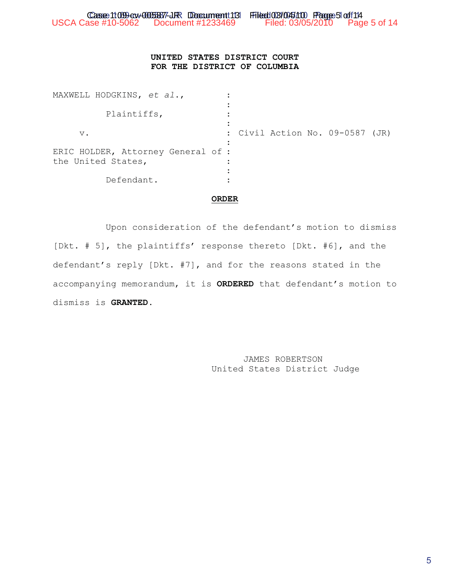## **UNITED STATES DISTRICT COURT FOR THE DISTRICT OF COLUMBIA**

| MAXWELL HODGKINS, et al.,                                |                                 |
|----------------------------------------------------------|---------------------------------|
| Plaintiffs,                                              |                                 |
| $V$ .                                                    | : Civil Action No. 09-0587 (JR) |
| ERIC HOLDER, Attorney General of :<br>the United States, |                                 |
| Defendant.                                               |                                 |

### **ORDER**

Upon consideration of the defendant's motion to dismiss [Dkt. # 5], the plaintiffs' response thereto [Dkt. #6], and the defendant's reply [Dkt. #7], and for the reasons stated in the accompanying memorandum, it is **ORDERED** that defendant's motion to dismiss is **GRANTED**.

> JAMES ROBERTSON United States District Judge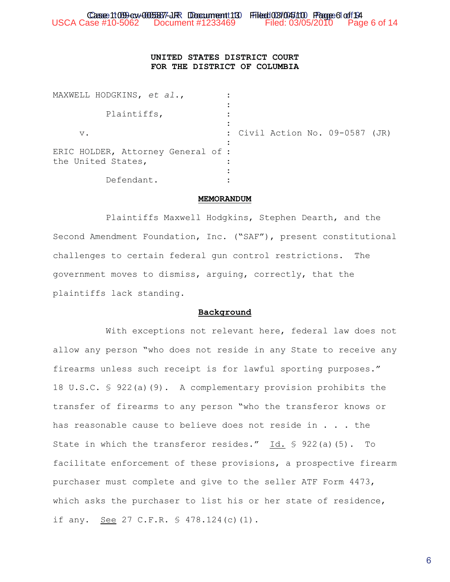## **UNITED STATES DISTRICT COURT FOR THE DISTRICT OF COLUMBIA**

| MAXWELL HODGKINS, et al.,                                |                                 |
|----------------------------------------------------------|---------------------------------|
| Plaintiffs,                                              |                                 |
| $V$ .                                                    | : Civil Action No. 09-0587 (JR) |
| ERIC HOLDER, Attorney General of :<br>the United States, |                                 |
| Defendant.                                               |                                 |

#### **MEMORANDUM**

Plaintiffs Maxwell Hodgkins, Stephen Dearth, and the Second Amendment Foundation, Inc. ("SAF"), present constitutional challenges to certain federal gun control restrictions. The government moves to dismiss, arguing, correctly, that the plaintiffs lack standing.

#### **Background**

With exceptions not relevant here, federal law does not allow any person "who does not reside in any State to receive any firearms unless such receipt is for lawful sporting purposes." 18 U.S.C. § 922(a)(9). A complementary provision prohibits the transfer of firearms to any person "who the transferor knows or has reasonable cause to believe does not reside in . . . the State in which the transferor resides." Id. § 922(a)(5). To facilitate enforcement of these provisions, a prospective firearm purchaser must complete and give to the seller ATF Form 4473, which asks the purchaser to list his or her state of residence, if any. See 27 C.F.R. § 478.124(c)(1).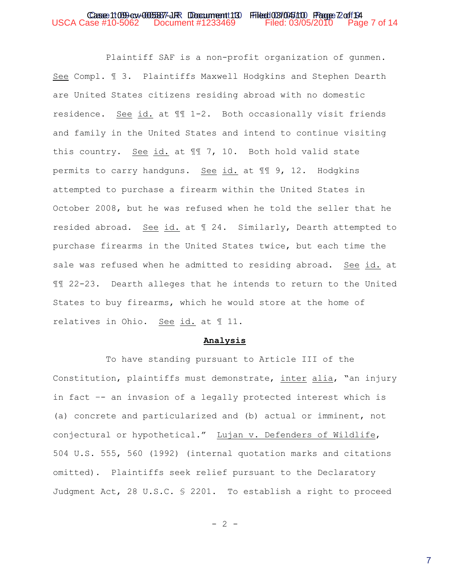#### Case 1:09 cv-005877-JR Document 13 Filed 03/045/10 Page 72 of 14 USCA Case #10-5062 Document #1233469 Filed: 03/05/2010 Page 7 of 14

Plaintiff SAF is a non-profit organization of gunmen. See Compl. ¶ 3. Plaintiffs Maxwell Hodgkins and Stephen Dearth are United States citizens residing abroad with no domestic residence. See id. at ¶¶ 1-2. Both occasionally visit friends and family in the United States and intend to continue visiting this country. See id. at ¶¶ 7, 10. Both hold valid state permits to carry handguns. See id. at ¶¶ 9, 12. Hodgkins attempted to purchase a firearm within the United States in October 2008, but he was refused when he told the seller that he resided abroad. See id. at ¶ 24. Similarly, Dearth attempted to purchase firearms in the United States twice, but each time the sale was refused when he admitted to residing abroad. See id. at ¶¶ 22-23. Dearth alleges that he intends to return to the United States to buy firearms, which he would store at the home of relatives in Ohio. See id. at ¶ 11.

#### **Analysis**

To have standing pursuant to Article III of the Constitution, plaintiffs must demonstrate, inter alia, "an injury in fact –- an invasion of a legally protected interest which is (a) concrete and particularized and (b) actual or imminent, not conjectural or hypothetical." Lujan v. Defenders of Wildlife, 504 U.S. 555, 560 (1992) (internal quotation marks and citations omitted). Plaintiffs seek relief pursuant to the Declaratory Judgment Act, 28 U.S.C. § 2201. To establish a right to proceed

 $-2 -$ 

7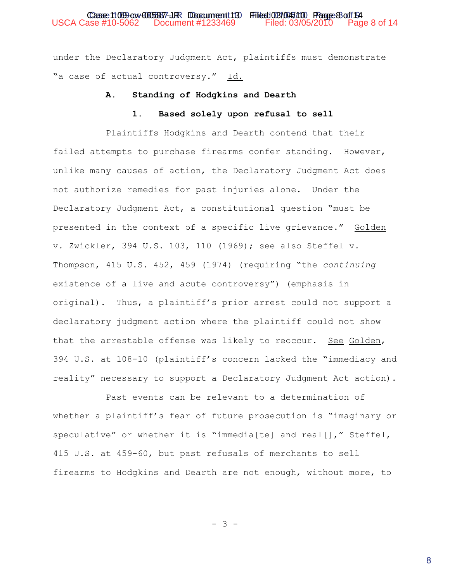under the Declaratory Judgment Act, plaintiffs must demonstrate "a case of actual controversy." Id.

#### **A. Standing of Hodgkins and Dearth**

## **1. Based solely upon refusal to sell**

Plaintiffs Hodgkins and Dearth contend that their failed attempts to purchase firearms confer standing. However, unlike many causes of action, the Declaratory Judgment Act does not authorize remedies for past injuries alone. Under the Declaratory Judgment Act, a constitutional question "must be presented in the context of a specific live grievance." Golden v. Zwickler, 394 U.S. 103, 110 (1969); see also Steffel v. Thompson, 415 U.S. 452, 459 (1974) (requiring "the *continuing* existence of a live and acute controversy") (emphasis in original). Thus, a plaintiff's prior arrest could not support a declaratory judgment action where the plaintiff could not show that the arrestable offense was likely to reoccur. See Golden, 394 U.S. at 108-10 (plaintiff's concern lacked the "immediacy and reality" necessary to support a Declaratory Judgment Act action).

Past events can be relevant to a determination of whether a plaintiff's fear of future prosecution is "imaginary or speculative" or whether it is "immedia[te] and real[]," Steffel, 415 U.S. at 459-60, but past refusals of merchants to sell firearms to Hodgkins and Dearth are not enough, without more, to

 $- 3 -$ 

8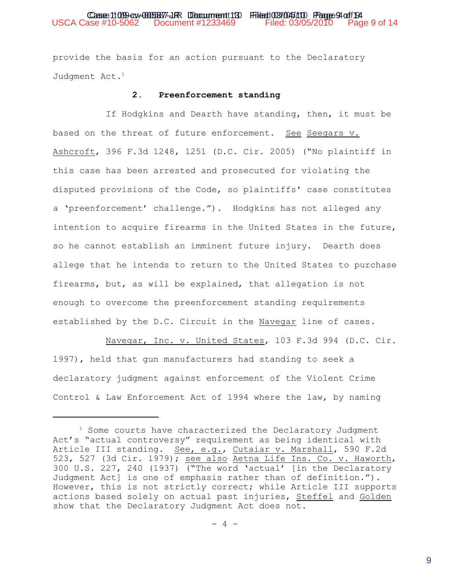provide the basis for an action pursuant to the Declaratory Judgment Act.<sup>1</sup>

### **2. Preenforcement standing**

If Hodgkins and Dearth have standing, then, it must be based on the threat of future enforcement. See Seegars v. Ashcroft, 396 F.3d 1248, 1251 (D.C. Cir. 2005) ("No plaintiff in this case has been arrested and prosecuted for violating the disputed provisions of the Code, so plaintiffs' case constitutes a 'preenforcement' challenge."). Hodgkins has not alleged any intention to acquire firearms in the United States in the future, so he cannot establish an imminent future injury. Dearth does allege that he intends to return to the United States to purchase firearms, but, as will be explained, that allegation is not enough to overcome the preenforcement standing requirements established by the D.C. Circuit in the Navegar line of cases.

Navegar, Inc. v. United States, 103 F.3d 994 (D.C. Cir. 1997), held that gun manufacturers had standing to seek a declaratory judgment against enforcement of the Violent Crime Control & Law Enforcement Act of 1994 where the law, by naming

 $1$  Some courts have characterized the Declaratory Judgment Act's "actual controversy" requirement as being identical with Article III standing. See, e.g., Cutaiar v. Marshall, 590 F.2d 523, 527 (3d Cir. 1979); see also Aetna Life Ins. Co. v. Haworth, 300 U.S. 227, 240 (1937) ("The word 'actual' [in the Declaratory Judgment Act] is one of emphasis rather than of definition."). However, this is not strictly correct; while Article III supports actions based solely on actual past injuries, Steffel and Golden show that the Declaratory Judgment Act does not.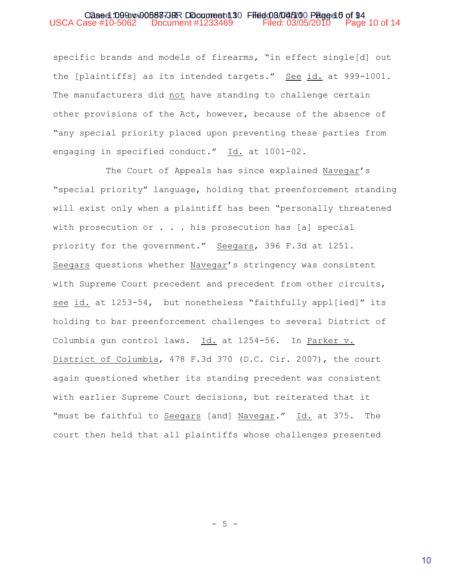specific brands and models of firearms, "in effect single[d] out the [plaintiffs] as its intended targets." See id. at 999-1001. The manufacturers did not have standing to challenge certain other provisions of the Act, however, because of the absence of "any special priority placed upon preventing these parties from engaging in specified conduct." Id. at 1001-02.

The Court of Appeals has since explained Navegar's "special priority" language, holding that preenforcement standing will exist only when a plaintiff has been "personally threatened with prosecution or  $\ldots$  . his prosecution has [a] special priority for the government." Seegars, 396 F.3d at 1251. Seegars questions whether Navegar's stringency was consistent with Supreme Court precedent and precedent from other circuits, see id. at 1253-54, but nonetheless "faithfully appl[ied]" its holding to bar preenforcement challenges to several District of Columbia gun control laws. Id. at 1254-56. In Parker v. District of Columbia, 478 F.3d 370 (D.C. Cir. 2007), the court again questioned whether its standing precedent was consistent with earlier Supreme Court decisions, but reiterated that it "must be faithful to Seegars [and] Navegar." Id. at 375. The court then held that all plaintiffs whose challenges presented

 $-5 -$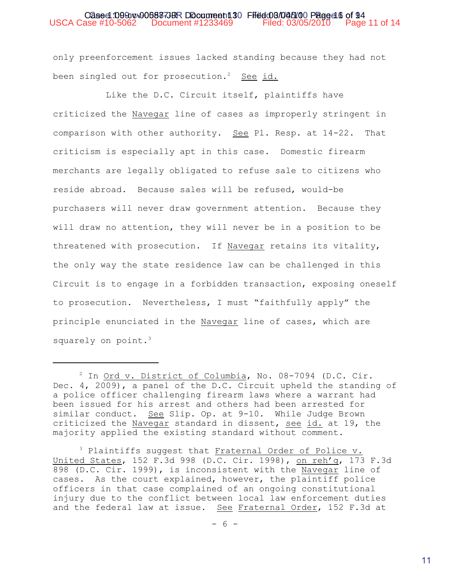### Oased 1099cv-00587JBR Document 130 Ffield 03/045/00 Paged 6 of 94 USCA Case #10-5062 Document #1233469 Filed: 03/05/2010 Page 11 of 14

only preenforcement issues lacked standing because they had not been singled out for prosecution.<sup>2</sup> See id.

Like the D.C. Circuit itself, plaintiffs have criticized the Navegar line of cases as improperly stringent in comparison with other authority. See Pl. Resp. at 14-22. That criticism is especially apt in this case. Domestic firearm merchants are legally obligated to refuse sale to citizens who reside abroad. Because sales will be refused, would-be purchasers will never draw government attention. Because they will draw no attention, they will never be in a position to be threatened with prosecution. If Navegar retains its vitality, the only way the state residence law can be challenged in this Circuit is to engage in a forbidden transaction, exposing oneself to prosecution. Nevertheless, I must "faithfully apply" the principle enunciated in the Navegar line of cases, which are squarely on point.<sup>3</sup>

 $2$  In Ord v. District of Columbia, No. 08-7094 (D.C. Cir. Dec. 4, 2009), a panel of the D.C. Circuit upheld the standing of a police officer challenging firearm laws where a warrant had been issued for his arrest and others had been arrested for similar conduct. See Slip. Op. at 9-10. While Judge Brown criticized the Navegar standard in dissent, see id. at 19, the majority applied the existing standard without comment.

 $3$  Plaintiffs suggest that Fraternal Order of Police v. United States, 152 F.3d 998 (D.C. Cir. 1998), on reh'g, 173 F.3d 898 (D.C. Cir. 1999), is inconsistent with the Navegar line of cases. As the court explained, however, the plaintiff police officers in that case complained of an ongoing constitutional injury due to the conflict between local law enforcement duties and the federal law at issue. See Fraternal Order, 152 F.3d at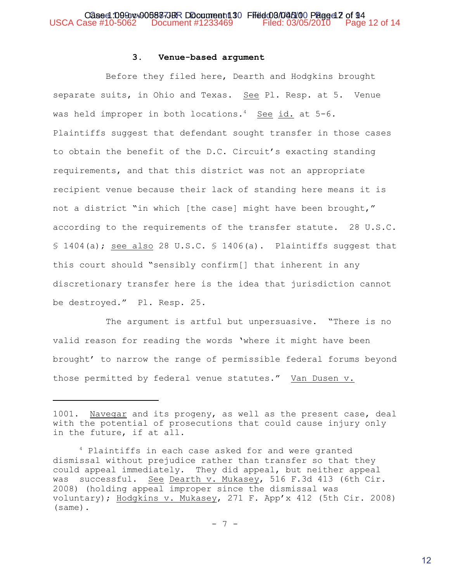## **3. Venue-based argument**

Before they filed here, Dearth and Hodgkins brought separate suits, in Ohio and Texas. See Pl. Resp. at 5. Venue was held improper in both locations.<sup>4</sup> See id. at  $5-6$ . Plaintiffs suggest that defendant sought transfer in those cases to obtain the benefit of the D.C. Circuit's exacting standing requirements, and that this district was not an appropriate recipient venue because their lack of standing here means it is not a district "in which [the case] might have been brought," according to the requirements of the transfer statute. 28 U.S.C. § 1404(a); see also 28 U.S.C. § 1406(a). Plaintiffs suggest that this court should "sensibly confirm[] that inherent in any discretionary transfer here is the idea that jurisdiction cannot be destroyed." Pl. Resp. 25.

The argument is artful but unpersuasive. "There is no valid reason for reading the words 'where it might have been brought' to narrow the range of permissible federal forums beyond those permitted by federal venue statutes." Van Dusen v.

<sup>1001.</sup> Navegar and its progeny, as well as the present case, deal with the potential of prosecutions that could cause injury only in the future, if at all.

<sup>&</sup>lt;sup>4</sup> Plaintiffs in each case asked for and were granted dismissal without prejudice rather than transfer so that they could appeal immediately. They did appeal, but neither appeal was successful. See Dearth v. Mukasey, 516 F.3d 413 (6th Cir. 2008) (holding appeal improper since the dismissal was voluntary); Hodgkins v. Mukasey, 271 F. App'x 412 (5th Cir. 2008) (same).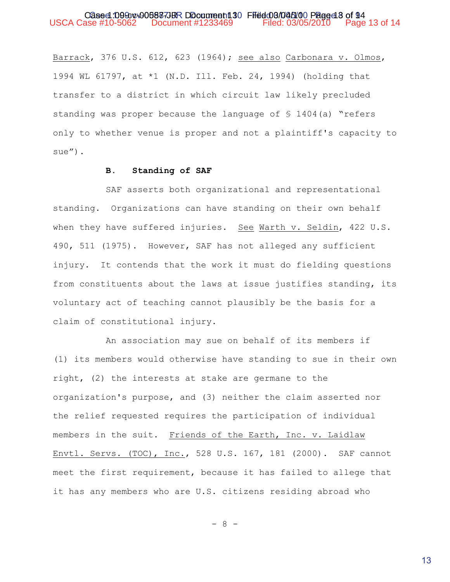Barrack, 376 U.S. 612, 623 (1964); see also Carbonara v. Olmos, 1994 WL 61797, at \*1 (N.D. Ill. Feb. 24, 1994) (holding that transfer to a district in which circuit law likely precluded standing was proper because the language of  $$1404(a)$  "refers only to whether venue is proper and not a plaintiff's capacity to sue").

## **B. Standing of SAF**

SAF asserts both organizational and representational standing. Organizations can have standing on their own behalf when they have suffered injuries. See Warth v. Seldin, 422 U.S. 490, 511 (1975). However, SAF has not alleged any sufficient injury. It contends that the work it must do fielding questions from constituents about the laws at issue justifies standing, its voluntary act of teaching cannot plausibly be the basis for a claim of constitutional injury.

An association may sue on behalf of its members if (1) its members would otherwise have standing to sue in their own right, (2) the interests at stake are germane to the organization's purpose, and (3) neither the claim asserted nor the relief requested requires the participation of individual members in the suit. Friends of the Earth, Inc. v. Laidlaw Envtl. Servs. (TOC), Inc., 528 U.S. 167, 181 (2000). SAF cannot meet the first requirement, because it has failed to allege that it has any members who are U.S. citizens residing abroad who

- 8 -

13